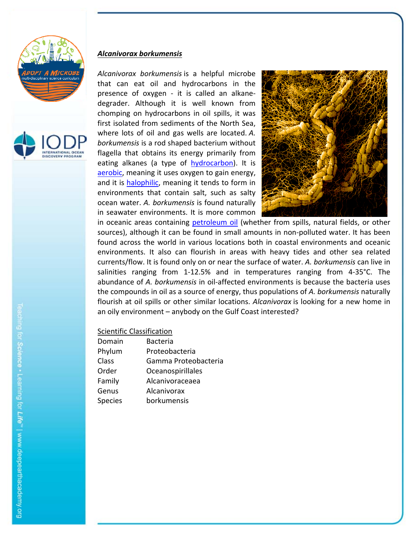



# *Alcanivorax borkumensis*

*Alcanivorax borkumensis* is a helpful microbe that can eat oil and hydrocarbons in the presence of oxygen - it is called an alkanedegrader. Although it is well known from chomping on hydrocarbons in oil spills, it was first isolated from sediments of the North Sea, where lots of oil and gas wells are located. *A. borkumensis* is a rod shaped bacterium without flagella that obtains its energy primarily from eating alkanes (a type of hydrocarbon). It is aerobic, meaning it uses oxygen to gain energy, and it is halophilic, meaning it tends to form in environments that contain salt, such as salty ocean water. *A. borkumensis* is found naturally in seawater environments. It is more common



in oceanic areas containing petroleum oil (whether from spills, natural fields, or other sources), although it can be found in small amounts in non‐polluted water. It has been found across the world in various locations both in coastal environments and oceanic environments. It also can flourish in areas with heavy tides and other sea related currents/flow. It is found only on or near the surface of water. *A. borkumensis* can live in salinities ranging from 1-12.5% and in temperatures ranging from 4-35°C. The abundance of *A. borkumensis* in oil‐affected environments is because the bacteria uses the compounds in oil as a source of energy, thus populations of *A. borkumensis* naturally flourish at oil spills or other similar locations. *Alcanivorax* is looking for a new home in an oily environment – anybody on the Gulf Coast interested?

| Domain         | <b>Bacteria</b>      |
|----------------|----------------------|
| Phylum         | Proteobacteria       |
| Class          | Gamma Proteobacteria |
| Order          | Oceanospirillales    |
| Family         | Alcanivoraceaea      |
| Genus          | Alcanivorax          |
| <b>Species</b> | borkumensis          |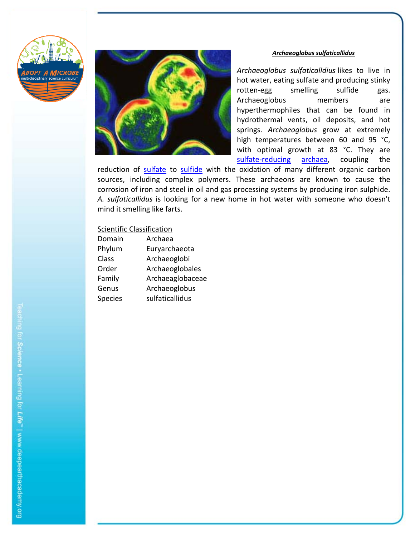



#### *Archaeoglobus sulfaticallidus*

*Archaeoglobus sulfaticalldius* likes to live in hot water, eating sulfate and producing stinky rotten‐egg smelling sulfide gas. Archaeoglobus members are hyperthermophiles that can be found in hydrothermal vents, oil deposits, and hot springs. *Archaeoglobus* grow at extremely high temperatures between 60 and 95 °C, with optimal growth at 83 °C. They are sulfate-reducing archaea, coupling the

reduction of sulfate to sulfide with the oxidation of many different organic carbon sources, including complex polymers. These archaeons are known to cause the corrosion of iron and steel in oil and gas processing systems by producing iron sulphide. *A. sulfaticallidus* is looking for a new home in hot water with someone who doesn't mind it smelling like farts.

| Domain         | Archaea          |
|----------------|------------------|
| Phylum         | Euryarchaeota    |
| Class          | Archaeoglobi     |
| Order          | Archaeoglobales  |
| Family         | Archaeaglobaceae |
| Genus          | Archaeoglobus    |
| <b>Species</b> | sulfaticallidus  |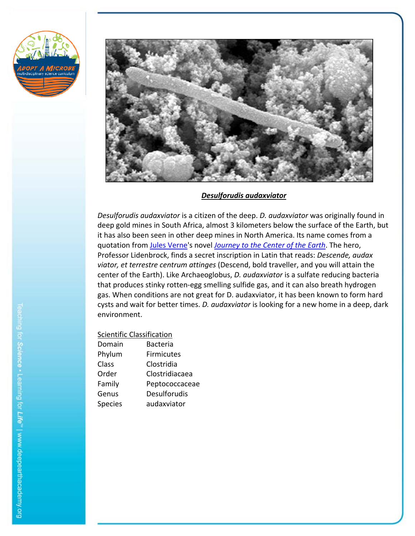



## *Desulforudis audaxviator*

*Desulforudis audaxviator* is a citizen of the deep. *D. audaxviator* was originally found in deep gold mines in South Africa, almost 3 kilometers below the surface of the Earth, but it has also been seen in other deep mines in North America. Its name comes from a quotation from Jules Verne's novel *Journey to the Center of the Earth*. The hero, Professor Lidenbrock, finds a secret inscription in Latin that reads: *Descende, audax viator, et terrestre centrum attinges* (Descend, bold traveller, and you will attain the center of the Earth). Like Archaeoglobus, *D. audaxviator* is a sulfate reducing bacteria that produces stinky rotten‐egg smelling sulfide gas, and it can also breath hydrogen gas. When conditions are not great for D. audaxviator, it has been known to form hard cysts and wait for better times. *D. audaxviator* is looking for a new home in a deep, dark environment.

| Domain         | <b>Bacteria</b>     |
|----------------|---------------------|
| Phylum         | <b>Firmicutes</b>   |
| Class          | Clostridia          |
| Order          | Clostridiacaea      |
| Family         | Peptococcaceae      |
| Genus          | <b>Desulforudis</b> |
| <b>Species</b> | audaxviator         |
|                |                     |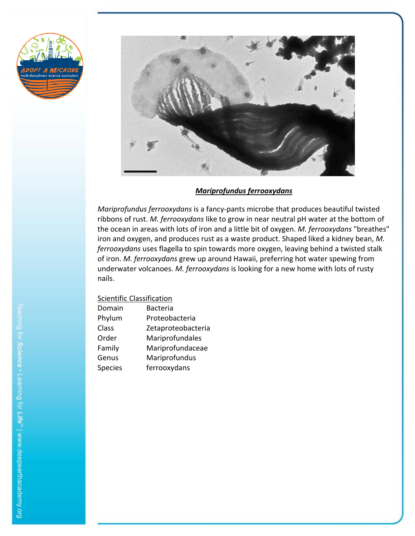



*Mariprofundus ferrooxydans*

*Mariprofundus ferrooxydans* is a fancy‐pants microbe that produces beautiful twisted ribbons of rust. *M. ferrooxydans* like to grow in near neutral pH water at the bottom of the ocean in areas with lots of iron and a little bit of oxygen. *M. ferrooxydans* "breathes" iron and oxygen, and produces rust as a waste product. Shaped liked a kidney bean, *M. ferrooxydans* uses flagella to spin towards more oxygen, leaving behind a twisted stalk of iron. *M. ferrooxydans* grew up around Hawaii, preferring hot water spewing from underwater volcanoes. *M. ferrooxydans* is looking for a new home with lots of rusty nails.

| Domain         | <b>Bacteria</b>    |
|----------------|--------------------|
| Phylum         | Proteobacteria     |
| Class          | Zetaproteobacteria |
| Order          | Mariprofundales    |
| Family         | Mariprofundaceae   |
| Genus          | Mariprofundus      |
| <b>Species</b> | ferrooxydans       |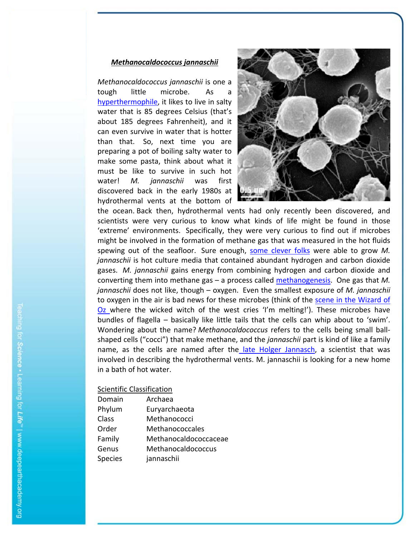## *Methanocaldococcus jannaschii*

*Methanocaldococcus jannaschii* is one a tough little microbe. As a hyperthermophile, it likes to live in salty water that is 85 degrees Celsius (that's about 185 degrees Fahrenheit), and it can even survive in water that is hotter than that. So, next time you are preparing a pot of boiling salty water to make some pasta, think about what it must be like to survive in such hot water! *M. jannaschii* was first discovered back in the early 1980s at hydrothermal vents at the bottom of



the ocean. Back then, hydrothermal vents had only recently been discovered, and scientists were very curious to know what kinds of life might be found in those 'extreme' environments. Specifically, they were very curious to find out if microbes might be involved in the formation of methane gas that was measured in the hot fluids spewing out of the seafloor. Sure enough, some clever folks were able to grow M. *jannaschii* is hot culture media that contained abundant hydrogen and carbon dioxide gases. *M. jannaschii* gains energy from combining hydrogen and carbon dioxide and converting them into methane gas – a process called methanogenesis. One gas that *M. jannaschii* does not like, though – oxygen. Even the smallest exposure of *M. jannaschii* to oxygen in the air is bad news for these microbes (think of the scene in the Wizard of Oz where the wicked witch of the west cries 'I'm melting!'). These microbes have bundles of flagella – basically like little tails that the cells can whip about to 'swim'. Wondering about the name? *Methanocaldococcus* refers to the cells being small ball‐ shaped cells ("cocci") that make methane, and the *jannaschii* part is kind of like a family name, as the cells are named after the late Holger Jannasch, a scientist that was involved in describing the hydrothermal vents. M. jannaschii is looking for a new home in a bath of hot water.

| Domain         | Archaea               |
|----------------|-----------------------|
| Phylum         | Euryarchaeota         |
| Class          | Methanococci          |
| Order          | Methanococcales       |
| Family         | Methanocaldococcaceae |
| Genus          | Methanocaldococcus    |
| <b>Species</b> | jannaschii            |